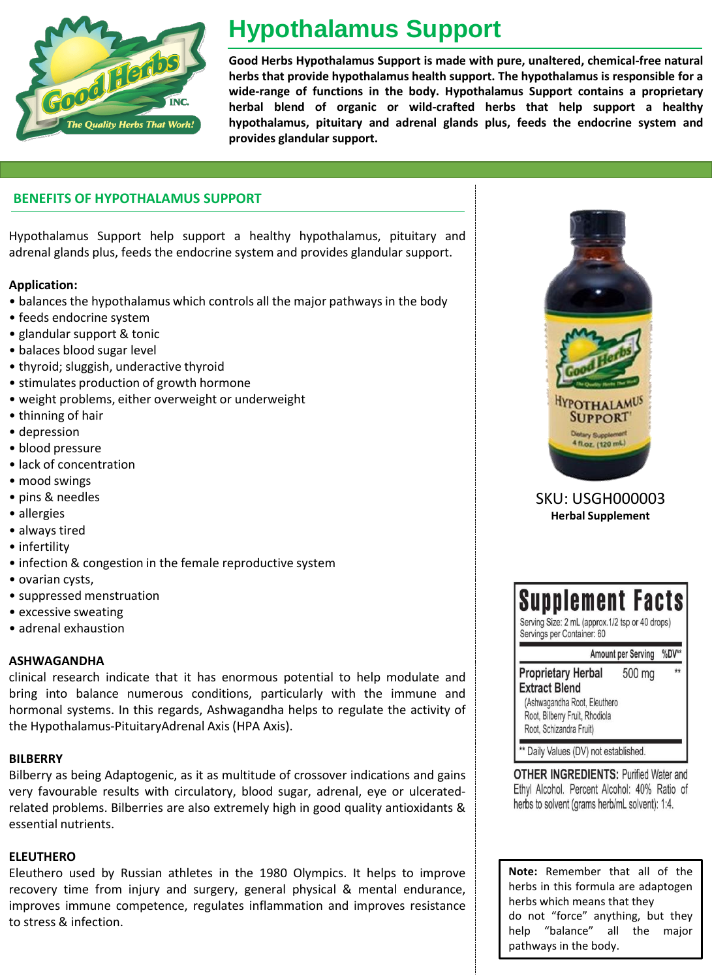

# **Hypothalamus Support**

**Good Herbs Hypothalamus Support is made with pure, unaltered, chemical-free natural herbs that provide hypothalamus health support. The hypothalamus is responsible for a wide-range of functions in the body. Hypothalamus Support contains a proprietary herbal blend of organic or wild-crafted herbs that help support a healthy hypothalamus, pituitary and adrenal glands plus, feeds the endocrine system and provides glandular support.**

### **BENEFITS OF HYPOTHALAMUS SUPPORT**

Hypothalamus Support help support a healthy hypothalamus, pituitary and adrenal glands plus, feeds the endocrine system and provides glandular support.

## **Application:**

- balances the hypothalamus which controls all the major pathways in the body
- feeds endocrine system
- glandular support & tonic
- balaces blood sugar level
- thyroid; sluggish, underactive thyroid
- stimulates production of growth hormone
- weight problems, either overweight or underweight
- thinning of hair
- depression
- blood pressure
- lack of concentration
- mood swings
- pins & needles
- allergies
- always tired
- infertility
- infection & congestion in the female reproductive system
- ovarian cysts,
- suppressed menstruation
- excessive sweating
- adrenal exhaustion

## **ASHWAGANDHA**

clinical research indicate that it has enormous potential to help modulate and bring into balance numerous conditions, particularly with the immune and hormonal systems. In this regards, Ashwagandha helps to regulate the activity of the Hypothalamus-PituitaryAdrenal Axis (HPA Axis).

### **BILBERRY**

Bilberry as being Adaptogenic, as it as multitude of crossover indications and gains very favourable results with circulatory, blood sugar, adrenal, eye or ulceratedrelated problems. Bilberries are also extremely high in good quality antioxidants & essential nutrients.

## **ELEUTHERO**

Eleuthero used by Russian athletes in the 1980 Olympics. It helps to improve recovery time from injury and surgery, general physical & mental endurance, improves immune competence, regulates inflammation and improves resistance to stress & infection.



SKU: USGH000003 **Herbal Supplement**

| <b>Supplement Facts</b><br>Serving Size: 2 mL (approx.1/2 tsp or 40 drops)<br>Servings per Container: 60 |              |
|----------------------------------------------------------------------------------------------------------|--------------|
| <b>Amount per Serving</b>                                                                                | %DV**        |
| 500 mg<br>(Ashwagandha Root, Eleuthero                                                                   | $\star\star$ |
|                                                                                                          |              |

**OTHER INGREDIENTS: Purified Water and** Ethyl Alcohol. Percent Alcohol: 40% Ratio of herbs to solvent (grams herb/mL solvent): 1:4.

**Note:** Remember that all of the herbs in this formula are adaptogen herbs which means that they do not "force" anything, but they help "balance" all the major pathways in the body.